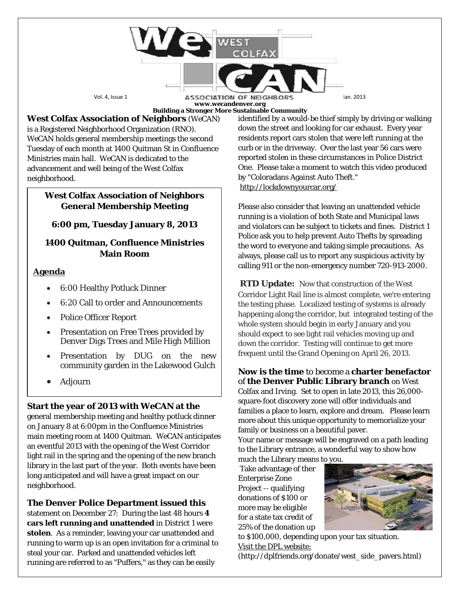Vol. 4, Issue 1 **ASSOCIATION OF NEIGHBORS** an. 2013 **www.wecandenver.org**

**WEST** 

**Building a Stronger More Sustainable Community**

**West Colfax Association of Neighbors** (*WeCAN*) is a Registered Neighborhood Organization (RNO). *WeCAN* holds general membership meetings the second Tuesday of each month at 1400 Quitman St in Confluence Ministries main hall. *WeCAN* is dedicated to the advancement and well being of the West Colfax neighborhood.

### **West Colfax Association of Neighbors General Membership Meeting**

# **6:00 pm, Tuesday January 8, 2013**

## **1400 Quitman, Confluence Ministries Main Room**

#### **Agenda**

- 6:00 Healthy Potluck Dinner
- 6:20 Call to order and Announcements
- Police Officer Report
- Presentation on Free Trees provided by Denver Digs Trees and Mile High Million
- Presentation by DUG on the new community garden in the Lakewood Gulch
- Adjourn

## **Start the year of 2013 with** *WeCAN* **at the**

general membership meeting and healthy potluck dinner on January 8 at 6:00pm in the Confluence Ministries main meeting room at 1400 Quitman. *WeCAN* anticipates an eventful 2013 with the opening of the West Corridor light rail in the spring and the opening of the new branch library in the last part of the year. Both events have been long anticipated and will have a great impact on our neighborhood.

**The Denver Police Department issued this** 

statement on December 27: During the last 48 hours **4 cars left running and unattended** in District 1 were **stolen**. As a reminder, leaving your car unattended and running to warm up is an open invitation for a criminal to steal your car. Parked and unattended vehicles left running are referred to as "Puffers," as they can be easily

identified by a would-be thief simply by driving or walking down the street and looking for car exhaust. Every year residents report cars stolen that were left running at the curb or in the driveway. Over the last year 56 cars were reported stolen in these circumstances in Police District One. Please take a moment to watch this video produced by "Coloradans Against Auto Theft." [http://lockdownyourcar.org/](http://denvergov.us6.list-manage.com/track/click?u=7135839b76c960ca31a65cf7d&id=a6ed4c81c4&e=e9b9472350)

Please also consider that leaving an unattended vehicle running is a violation of both State and Municipal laws and violators can be subject to tickets and fines. District 1 Police ask you to help prevent Auto Thefts by spreading the word to everyone and taking simple precautions. As always, please call us to report any suspicious activity by calling 911 or the non-emergency number 720-913-2000.

**RTD Update:** Now that construction of the West Corridor Light Rail line is almost complete, we're entering the testing phase. Localized testing of systems is already happening along the corridor, but integrated testing of the whole system should begin in early January and you should expect to see light rail vehicles moving up and down the corridor. Testing will continue to get more frequent until the Grand Opening on April 26, 2013.

**Now is the time** to become a **charter benefactor** of **the Denver Public Library branch** on West Colfax and Irving. Set to open in late 2013, this 26,000 square-foot discovery zone will offer individuals and families a place to learn, explore and dream. Please learn more about this unique opportunity to memorialize your family or business on a beautiful paver.

Your name or message will be engraved on a path leading to the Library entrance, a wonderful way to show how

much the Library means to you. Take advantage of ther Enterprise Zone Project -- qualifying donations of \$100 or more may be eligible for a state tax credit of 25% of the donation up



to \$100,000, depending upon your tax situation. Visit the DPL website:

(http://dplfriends.org/donate/west\_side\_pavers.html)